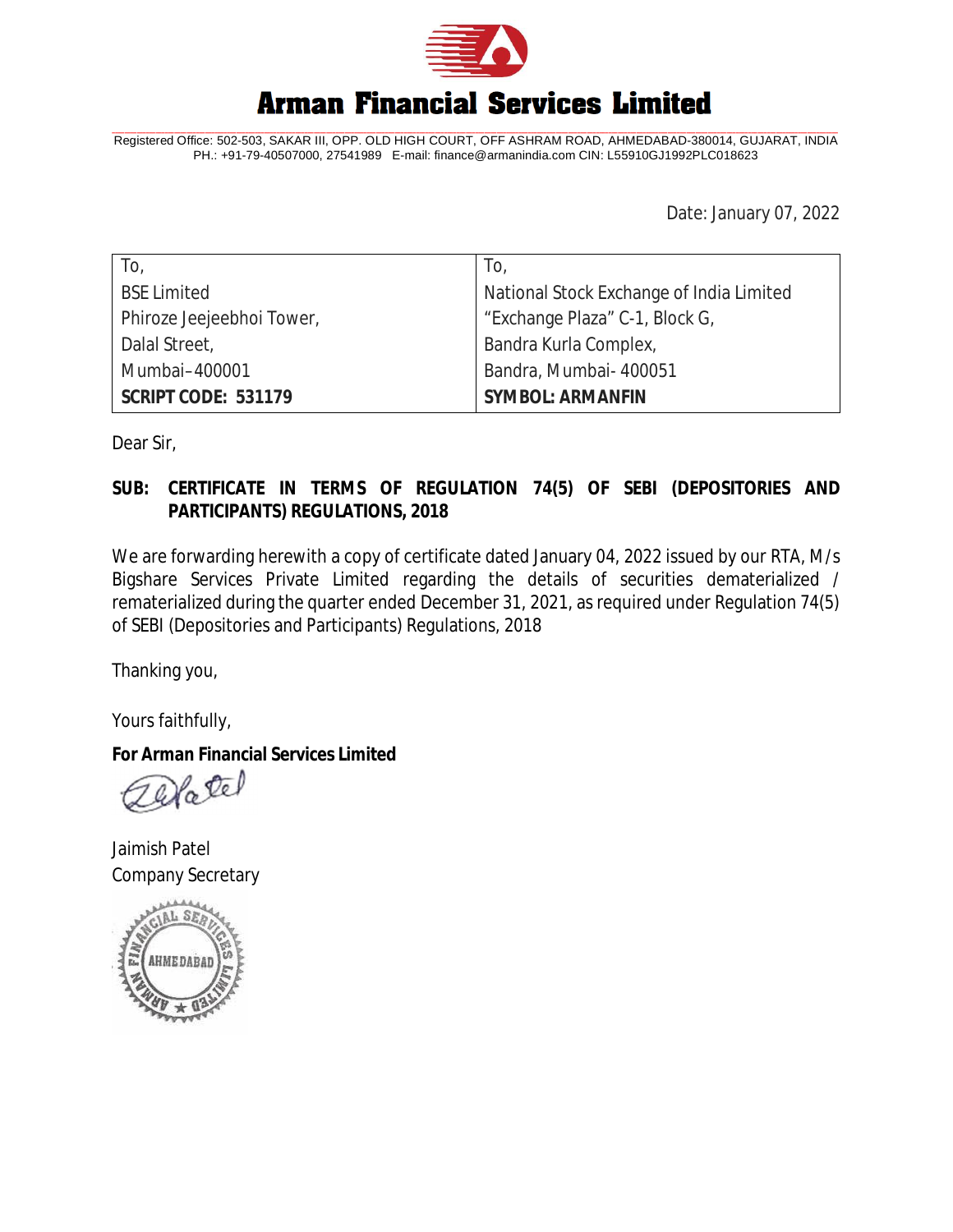

## **Arman Financial Services Limited**

Registered Office: 502-503, SAKAR III, OPP. OLD HIGH COURT, OFF ASHRAM ROAD, AHMEDABAD-380014, GUJARAT, INDIA PH.: +91-79-40507000, 27541989 E-mail: [finance@armanindia.com](mailto:finance@armanindia.com) CIN: L55910GJ1992PLC018623

Date: January 07, 2022

| To,                        | To,                                      |
|----------------------------|------------------------------------------|
| <b>BSE Limited</b>         | National Stock Exchange of India Limited |
| Phiroze Jeejeebhoi Tower,  | "Exchange Plaza" C-1, Block G,           |
| Dalal Street,              | Bandra Kurla Complex,                    |
| Mumbai-400001              | Bandra, Mumbai- 400051                   |
| <b>SCRIPT CODE: 531179</b> | <b>SYMBOL: ARMANFIN</b>                  |

Dear Sir,

## **SUB: CERTIFICATE IN TERMS OF REGULATION 74(5) OF SEBI (DEPOSITORIES AND PARTICIPANTS) REGULATIONS, 2018**

We are forwarding herewith a copy of certificate dated January 04, 2022 issued by our RTA, M/s Bigshare Services Private Limited regarding the details of securities dematerialized / rematerialized during the quarter ended December 31, 2021, as required under Regulation 74(5) of SEBI (Depositories and Participants) Regulations, 2018

Thanking you,

Yours faithfully,

**For Arman Financial Services Limited**

Natel

Jaimish Patel Company Secretary